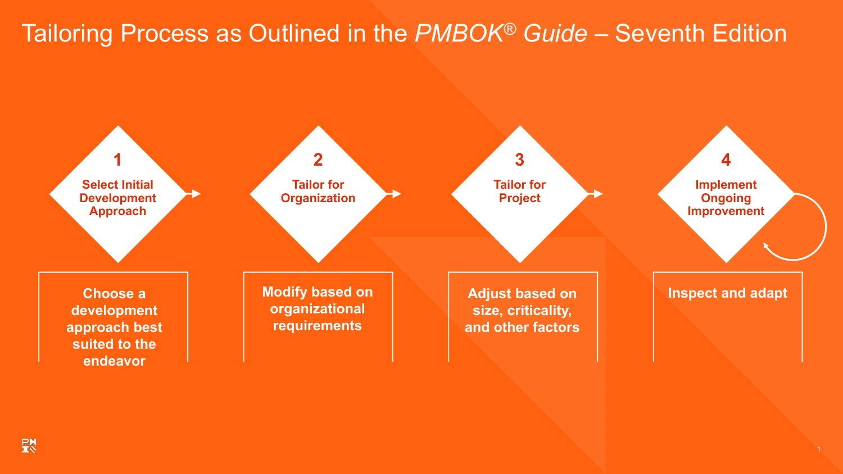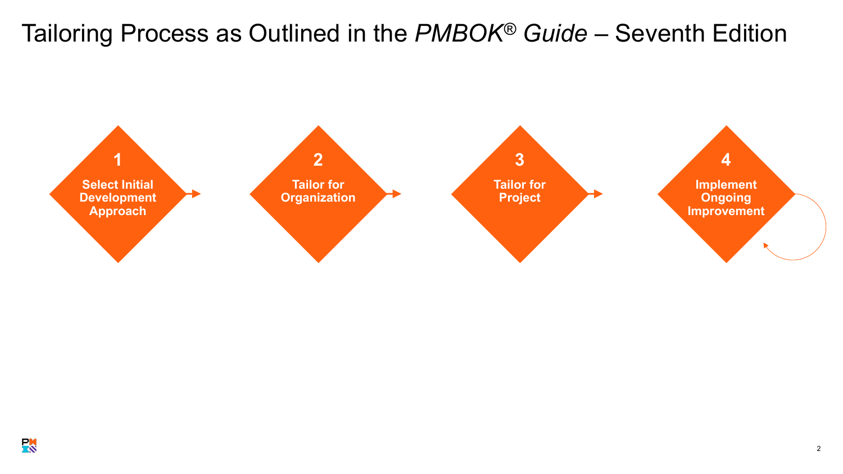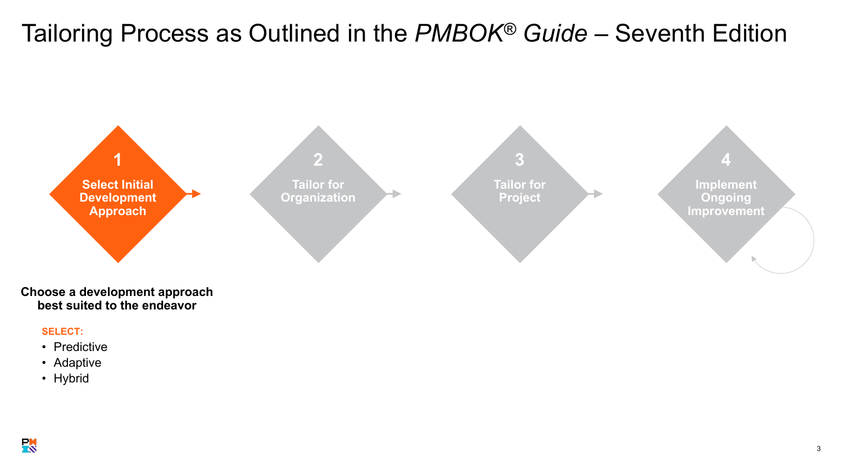<span id="page-2-0"></span>

**Choose a development approach best suited to the endeavor**

#### **SELECT:**

- Predictive
- Adaptive
- Hybrid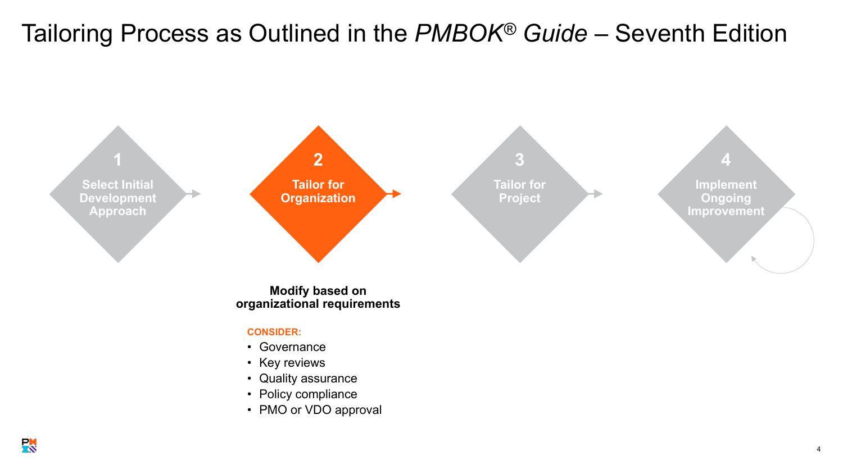<span id="page-3-0"></span>

**Modify based on organizational requirements**

#### **CONSIDER:**

- Governance
- Key reviews
- Quality assurance
- Policy compliance
- PMO or VDO approval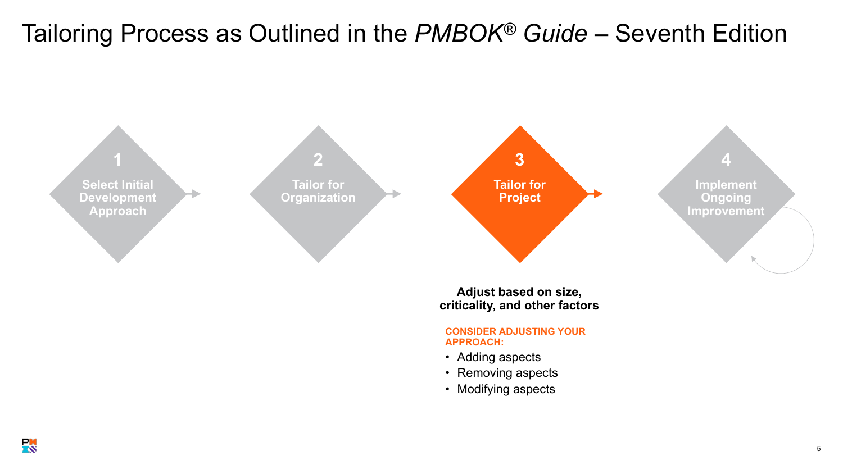<span id="page-4-0"></span>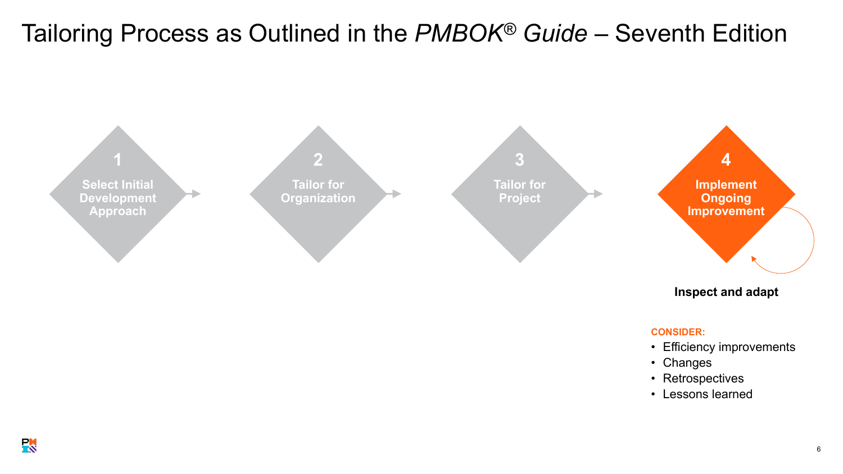<span id="page-5-0"></span>

### **Inspect and adapt**

#### **CONSIDER:**

- Efficiency improvements
- Changes
- Retrospectives
- Lessons learned